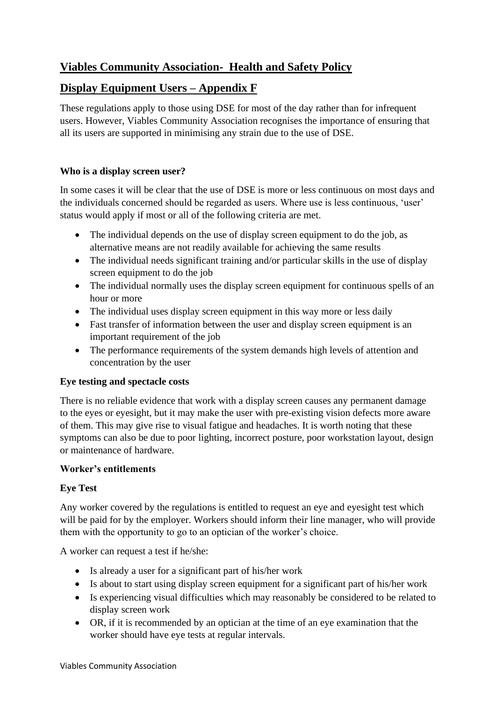# **Viables Community Association- Health and Safety Policy**

## **Display Equipment Users – Appendix F**

These regulations apply to those using DSE for most of the day rather than for infrequent users. However, Viables Community Association recognises the importance of ensuring that all its users are supported in minimising any strain due to the use of DSE.

### **Who is a display screen user?**

In some cases it will be clear that the use of DSE is more or less continuous on most days and the individuals concerned should be regarded as users. Where use is less continuous, 'user' status would apply if most or all of the following criteria are met.

- The individual depends on the use of display screen equipment to do the job, as alternative means are not readily available for achieving the same results
- The individual needs significant training and/or particular skills in the use of display screen equipment to do the job
- The individual normally uses the display screen equipment for continuous spells of an hour or more
- The individual uses display screen equipment in this way more or less daily
- Fast transfer of information between the user and display screen equipment is an important requirement of the job
- The performance requirements of the system demands high levels of attention and concentration by the user

### **Eye testing and spectacle costs**

There is no reliable evidence that work with a display screen causes any permanent damage to the eyes or eyesight, but it may make the user with pre-existing vision defects more aware of them. This may give rise to visual fatigue and headaches. It is worth noting that these symptoms can also be due to poor lighting, incorrect posture, poor workstation layout, design or maintenance of hardware.

### **Worker's entitlements**

### **Eye Test**

Any worker covered by the regulations is entitled to request an eye and eyesight test which will be paid for by the employer. Workers should inform their line manager, who will provide them with the opportunity to go to an optician of the worker's choice.

A worker can request a test if he/she:

- Is already a user for a significant part of his/her work
- Is about to start using display screen equipment for a significant part of his/her work
- Is experiencing visual difficulties which may reasonably be considered to be related to display screen work
- OR, if it is recommended by an optician at the time of an eye examination that the worker should have eye tests at regular intervals.